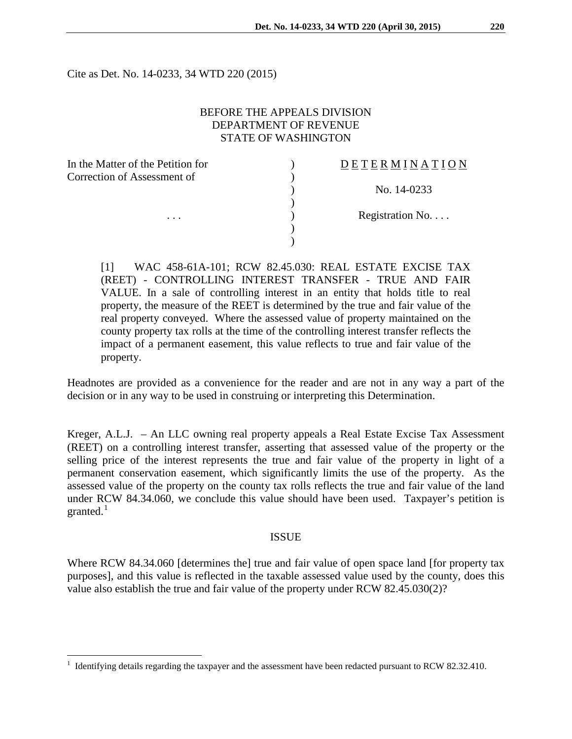Cite as Det. No. 14-0233, 34 WTD 220 (2015)

## BEFORE THE APPEALS DIVISION DEPARTMENT OF REVENUE STATE OF WASHINGTON

 $\lambda$ )

)

)

)

| In the Matter of the Petition for |  |
|-----------------------------------|--|
| Correction of Assessment of       |  |
|                                   |  |
|                                   |  |
|                                   |  |
|                                   |  |

 $\overline{a}$ 

### D E T E R M I N A T I O N

) No. 14-0233

Registration No. . . .

[1] WAC 458-61A-101; RCW 82.45.030: REAL ESTATE EXCISE TAX (REET) - CONTROLLING INTEREST TRANSFER - TRUE AND FAIR VALUE. In a sale of controlling interest in an entity that holds title to real property, the measure of the REET is determined by the true and fair value of the real property conveyed. Where the assessed value of property maintained on the county property tax rolls at the time of the controlling interest transfer reflects the impact of a permanent easement, this value reflects to true and fair value of the property.

Headnotes are provided as a convenience for the reader and are not in any way a part of the decision or in any way to be used in construing or interpreting this Determination.

Kreger, A.L.J. – An LLC owning real property appeals a Real Estate Excise Tax Assessment (REET) on a controlling interest transfer, asserting that assessed value of the property or the selling price of the interest represents the true and fair value of the property in light of a permanent conservation easement, which significantly limits the use of the property. As the assessed value of the property on the county tax rolls reflects the true and fair value of the land under RCW 84.34.060, we conclude this value should have been used. Taxpayer's petition is granted. $^1$  $^1$ 

#### ISSUE

Where RCW 84.34.060 [determines the] true and fair value of open space land [for property tax purposes], and this value is reflected in the taxable assessed value used by the county, does this value also establish the true and fair value of the property under RCW 82.45.030(2)?

<span id="page-0-0"></span><sup>1</sup> Identifying details regarding the taxpayer and the assessment have been redacted pursuant to RCW 82.32.410.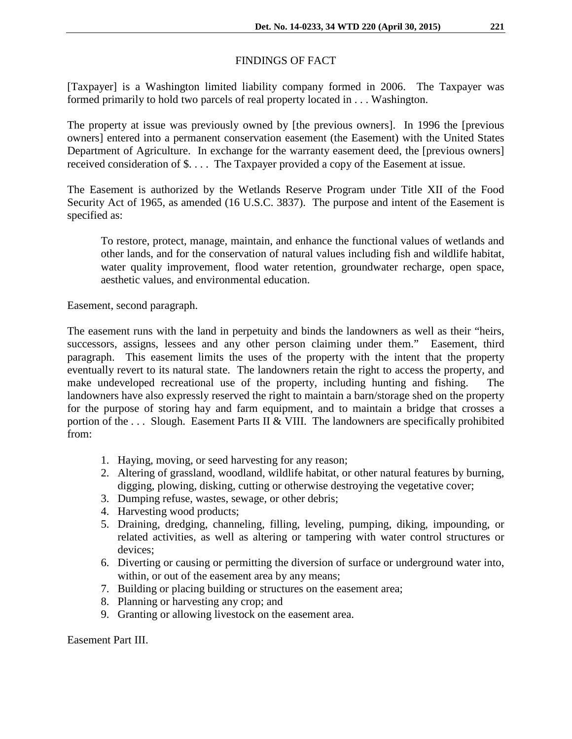# FINDINGS OF FACT

[Taxpayer] is a Washington limited liability company formed in 2006. The Taxpayer was formed primarily to hold two parcels of real property located in . . . Washington.

The property at issue was previously owned by [the previous owners]. In 1996 the [previous owners] entered into a permanent conservation easement (the Easement) with the United States Department of Agriculture. In exchange for the warranty easement deed, the [previous owners] received consideration of \$. . . . The Taxpayer provided a copy of the Easement at issue.

The Easement is authorized by the Wetlands Reserve Program under Title XII of the Food Security Act of 1965, as amended (16 U.S.C. 3837). The purpose and intent of the Easement is specified as:

To restore, protect, manage, maintain, and enhance the functional values of wetlands and other lands, and for the conservation of natural values including fish and wildlife habitat, water quality improvement, flood water retention, groundwater recharge, open space, aesthetic values, and environmental education.

Easement, second paragraph.

The easement runs with the land in perpetuity and binds the landowners as well as their "heirs, successors, assigns, lessees and any other person claiming under them." Easement, third paragraph. This easement limits the uses of the property with the intent that the property eventually revert to its natural state. The landowners retain the right to access the property, and make undeveloped recreational use of the property, including hunting and fishing. The landowners have also expressly reserved the right to maintain a barn/storage shed on the property for the purpose of storing hay and farm equipment, and to maintain a bridge that crosses a portion of the . . . Slough. Easement Parts II & VIII. The landowners are specifically prohibited from:

- 1. Haying, moving, or seed harvesting for any reason;
- 2. Altering of grassland, woodland, wildlife habitat, or other natural features by burning, digging, plowing, disking, cutting or otherwise destroying the vegetative cover;
- 3. Dumping refuse, wastes, sewage, or other debris;
- 4. Harvesting wood products;
- 5. Draining, dredging, channeling, filling, leveling, pumping, diking, impounding, or related activities, as well as altering or tampering with water control structures or devices;
- 6. Diverting or causing or permitting the diversion of surface or underground water into, within, or out of the easement area by any means;
- 7. Building or placing building or structures on the easement area;
- 8. Planning or harvesting any crop; and
- 9. Granting or allowing livestock on the easement area.

Easement Part III.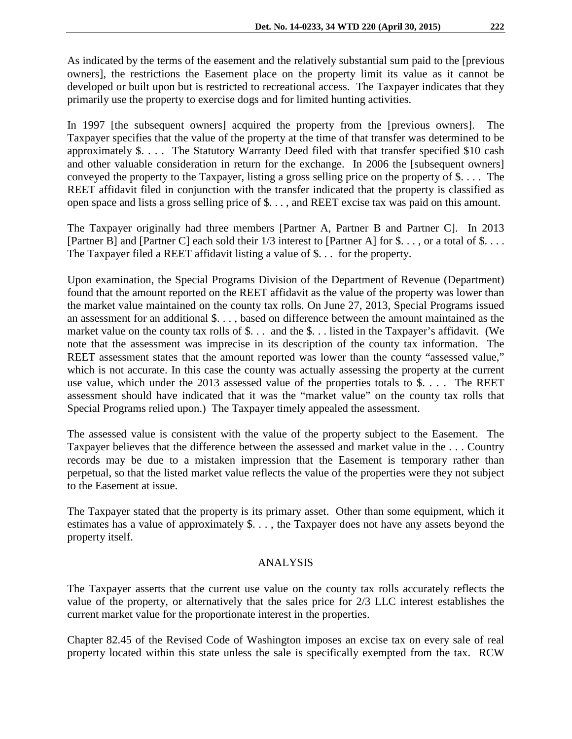As indicated by the terms of the easement and the relatively substantial sum paid to the [previous owners], the restrictions the Easement place on the property limit its value as it cannot be developed or built upon but is restricted to recreational access. The Taxpayer indicates that they primarily use the property to exercise dogs and for limited hunting activities.

In 1997 [the subsequent owners] acquired the property from the [previous owners]. The Taxpayer specifies that the value of the property at the time of that transfer was determined to be approximately \$. . . . The Statutory Warranty Deed filed with that transfer specified \$10 cash and other valuable consideration in return for the exchange. In 2006 the [subsequent owners] conveyed the property to the Taxpayer, listing a gross selling price on the property of \$. . . . The REET affidavit filed in conjunction with the transfer indicated that the property is classified as open space and lists a gross selling price of \$. . . , and REET excise tax was paid on this amount.

The Taxpayer originally had three members [Partner A, Partner B and Partner C]. In 2013 [Partner B] and [Partner C] each sold their 1/3 interest to [Partner A] for \$. . . , or a total of \$. . . . The Taxpayer filed a REET affidavit listing a value of \$. . . for the property.

Upon examination, the Special Programs Division of the Department of Revenue (Department) found that the amount reported on the REET affidavit as the value of the property was lower than the market value maintained on the county tax rolls. On June 27, 2013, Special Programs issued an assessment for an additional \$. . . , based on difference between the amount maintained as the market value on the county tax rolls of \$... and the \$... listed in the Taxpayer's affidavit. (We note that the assessment was imprecise in its description of the county tax information. The REET assessment states that the amount reported was lower than the county "assessed value," which is not accurate. In this case the county was actually assessing the property at the current use value, which under the 2013 assessed value of the properties totals to \$. . . . The REET assessment should have indicated that it was the "market value" on the county tax rolls that Special Programs relied upon.) The Taxpayer timely appealed the assessment.

The assessed value is consistent with the value of the property subject to the Easement. The Taxpayer believes that the difference between the assessed and market value in the . . . Country records may be due to a mistaken impression that the Easement is temporary rather than perpetual, so that the listed market value reflects the value of the properties were they not subject to the Easement at issue.

The Taxpayer stated that the property is its primary asset. Other than some equipment, which it estimates has a value of approximately \$. . . , the Taxpayer does not have any assets beyond the property itself.

## ANALYSIS

The Taxpayer asserts that the current use value on the county tax rolls accurately reflects the value of the property, or alternatively that the sales price for 2/3 LLC interest establishes the current market value for the proportionate interest in the properties.

Chapter 82.45 of the Revised Code of Washington imposes an excise tax on every sale of real property located within this state unless the sale is specifically exempted from the tax. RCW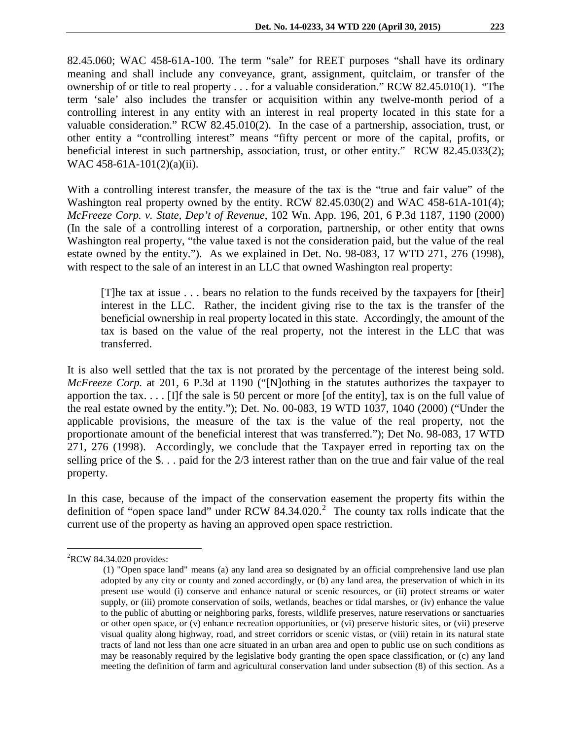82.45.060; WAC 458-61A-100. The term "sale" for REET purposes "shall have its ordinary meaning and shall include any conveyance, grant, assignment, quitclaim, or transfer of the ownership of or title to real property . . . for a valuable consideration." RCW 82.45.010(1). "The term 'sale' also includes the transfer or acquisition within any twelve-month period of a controlling interest in any entity with an interest in real property located in this state for a valuable consideration." RCW 82.45.010(2). In the case of a partnership, association, trust, or other entity a "controlling interest" means "fifty percent or more of the capital, profits, or beneficial interest in such partnership, association, trust, or other entity." RCW 82.45.033(2); WAC 458-61A-101(2)(a)(ii).

With a controlling interest transfer, the measure of the tax is the "true and fair value" of the Washington real property owned by the entity. RCW 82.45.030(2) and WAC 458-61A-101(4); *McFreeze Corp. v. State, Dep't of Revenue*, 102 Wn. App. 196, 201, 6 P.3d 1187, 1190 (2000) (In the sale of a controlling interest of a corporation, partnership, or other entity that owns Washington real property, "the value taxed is not the consideration paid, but the value of the real estate owned by the entity."). As we explained in Det. No. 98-083, 17 WTD 271, 276 (1998), with respect to the sale of an interest in an LLC that owned Washington real property:

[T]he tax at issue . . . bears no relation to the funds received by the taxpayers for [their] interest in the LLC. Rather, the incident giving rise to the tax is the transfer of the beneficial ownership in real property located in this state. Accordingly, the amount of the tax is based on the value of the real property, not the interest in the LLC that was transferred.

It is also well settled that the tax is not prorated by the percentage of the interest being sold. *McFreeze Corp.* at 201, 6 P.3d at 1190 ("[N]othing in the statutes authorizes the taxpayer to apportion the tax.... [I]f the sale is 50 percent or more [of the entity], tax is on the full value of the real estate owned by the entity."); Det. No. 00-083, 19 WTD 1037, 1040 (2000) ("Under the applicable provisions, the measure of the tax is the value of the real property, not the proportionate amount of the beneficial interest that was transferred."); Det No. 98-083, 17 WTD 271, 276 (1998). Accordingly, we conclude that the Taxpayer erred in reporting tax on the selling price of the \$. . . paid for the 2/3 interest rather than on the true and fair value of the real property.

In this case, because of the impact of the conservation easement the property fits within the definition of "open space land" under RCW  $84.34.020$  $84.34.020$  $84.34.020$ .<sup>2</sup> The county tax rolls indicate that the current use of the property as having an approved open space restriction.

<span id="page-3-0"></span> ${}^{2}$ RCW 84.34.020 provides:  $\overline{a}$ 

<sup>(1) &</sup>quot;Open space land" means (a) any land area so designated by an official comprehensive land use plan adopted by any city or county and zoned accordingly, or (b) any land area, the preservation of which in its present use would (i) conserve and enhance natural or scenic resources, or (ii) protect streams or water supply, or (iii) promote conservation of soils, wetlands, beaches or tidal marshes, or (iv) enhance the value to the public of abutting or neighboring parks, forests, wildlife preserves, nature reservations or sanctuaries or other open space, or (v) enhance recreation opportunities, or (vi) preserve historic sites, or (vii) preserve visual quality along highway, road, and street corridors or scenic vistas, or (viii) retain in its natural state tracts of land not less than one acre situated in an urban area and open to public use on such conditions as may be reasonably required by the legislative body granting the open space classification, or (c) any land meeting the definition of farm and agricultural conservation land under subsection (8) of this section. As a